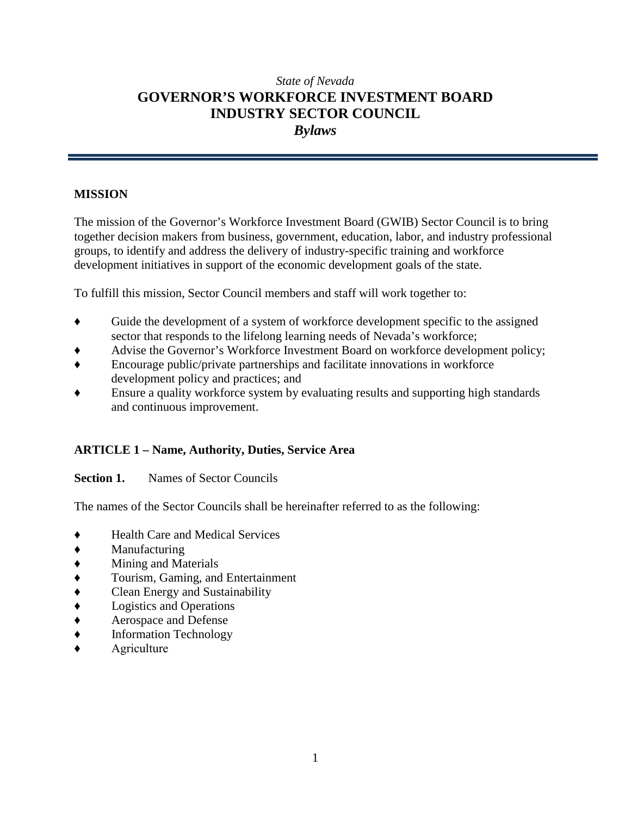# *State of Nevada* **GOVERNOR'S WORKFORCE INVESTMENT BOARD INDUSTRY SECTOR COUNCIL** *Bylaws*

# **MISSION**

The mission of the Governor's Workforce Investment Board (GWIB) Sector Council is to bring together decision makers from business, government, education, labor, and industry professional groups, to identify and address the delivery of industry-specific training and workforce development initiatives in support of the economic development goals of the state.

To fulfill this mission, Sector Council members and staff will work together to:

- ♦ Guide the development of a system of workforce development specific to the assigned sector that responds to the lifelong learning needs of Nevada's workforce;
- Advise the Governor's Workforce Investment Board on workforce development policy;
- ♦ Encourage public/private partnerships and facilitate innovations in workforce development policy and practices; and
- Ensure a quality workforce system by evaluating results and supporting high standards and continuous improvement.

# **ARTICLE 1 – Name, Authority, Duties, Service Area**

### **Section 1.** Names of Sector Councils

The names of the Sector Councils shall be hereinafter referred to as the following:

- **Health Care and Medical Services**
- ♦ Manufacturing
- ♦ Mining and Materials
- ♦ Tourism, Gaming, and Entertainment
- ♦ Clean Energy and Sustainability
- ♦ Logistics and Operations
- ♦ Aerospace and Defense
- ♦ Information Technology
- **Agriculture**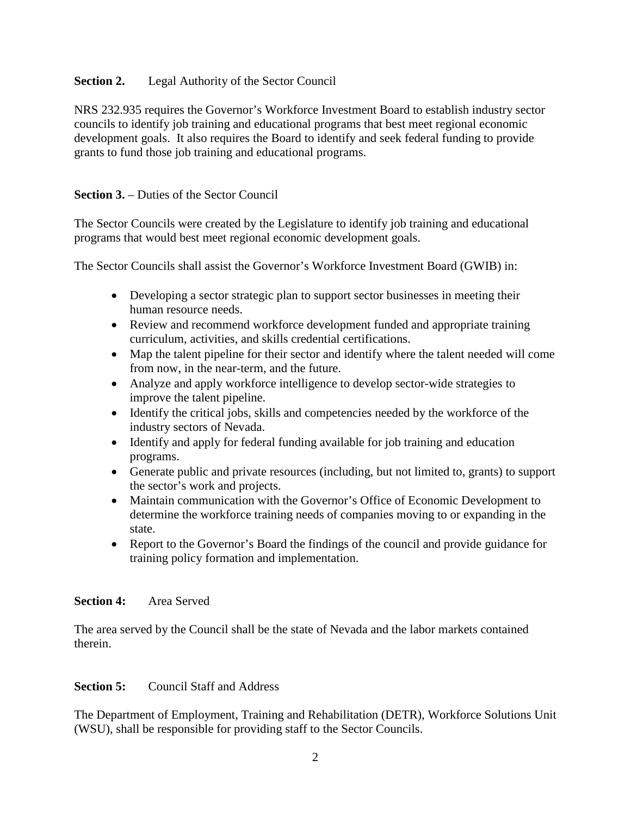## **Section 2.** Legal Authority of the Sector Council

NRS 232.935 requires the Governor's Workforce Investment Board to establish industry sector councils to identify job training and educational programs that best meet regional economic development goals. It also requires the Board to identify and seek federal funding to provide grants to fund those job training and educational programs.

# **Section 3.** – Duties of the Sector Council

The Sector Councils were created by the Legislature to identify job training and educational programs that would best meet regional economic development goals.

The Sector Councils shall assist the Governor's Workforce Investment Board (GWIB) in:

- Developing a sector strategic plan to support sector businesses in meeting their human resource needs.
- Review and recommend workforce development funded and appropriate training curriculum, activities, and skills credential certifications.
- Map the talent pipeline for their sector and identify where the talent needed will come from now, in the near-term, and the future.
- Analyze and apply workforce intelligence to develop sector-wide strategies to improve the talent pipeline.
- Identify the critical jobs, skills and competencies needed by the workforce of the industry sectors of Nevada.
- Identify and apply for federal funding available for job training and education programs.
- Generate public and private resources (including, but not limited to, grants) to support the sector's work and projects.
- Maintain communication with the Governor's Office of Economic Development to determine the workforce training needs of companies moving to or expanding in the state.
- Report to the Governor's Board the findings of the council and provide guidance for training policy formation and implementation.

# **Section 4:** Area Served

The area served by the Council shall be the state of Nevada and the labor markets contained therein.

# **Section 5:** Council Staff and Address

The Department of Employment, Training and Rehabilitation (DETR), Workforce Solutions Unit (WSU), shall be responsible for providing staff to the Sector Councils.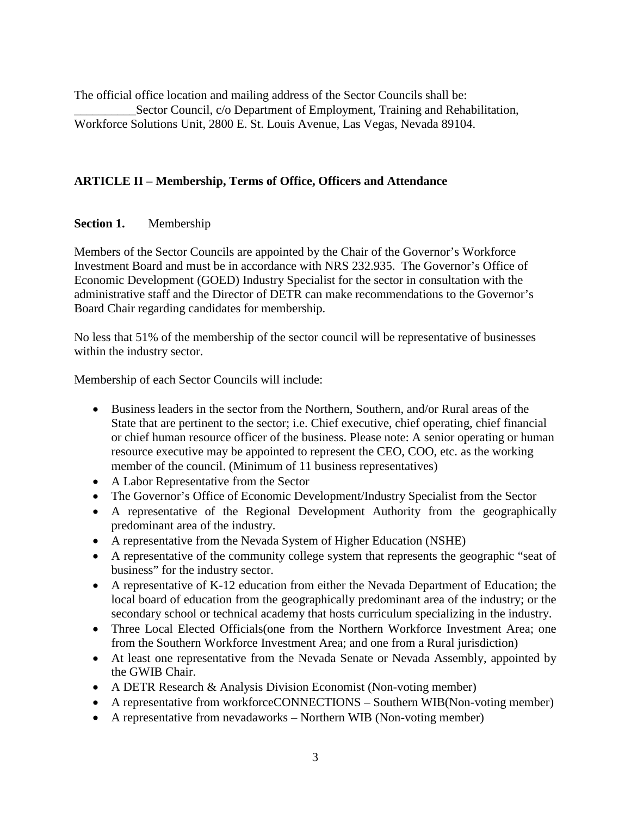The official office location and mailing address of the Sector Councils shall be: \_\_\_\_\_\_\_\_\_\_Sector Council, c/o Department of Employment, Training and Rehabilitation, Workforce Solutions Unit, 2800 E. St. Louis Avenue, Las Vegas, Nevada 89104.

# **ARTICLE II – Membership, Terms of Office, Officers and Attendance**

### **Section 1.** Membership

Members of the Sector Councils are appointed by the Chair of the Governor's Workforce Investment Board and must be in accordance with NRS 232.935. The Governor's Office of Economic Development (GOED) Industry Specialist for the sector in consultation with the administrative staff and the Director of DETR can make recommendations to the Governor's Board Chair regarding candidates for membership.

No less that 51% of the membership of the sector council will be representative of businesses within the industry sector.

Membership of each Sector Councils will include:

- Business leaders in the sector from the Northern, Southern, and/or Rural areas of the State that are pertinent to the sector; i.e. Chief executive, chief operating, chief financial or chief human resource officer of the business. Please note: A senior operating or human resource executive may be appointed to represent the CEO, COO, etc. as the working member of the council. (Minimum of 11 business representatives)
- A Labor Representative from the Sector
- The Governor's Office of Economic Development/Industry Specialist from the Sector
- A representative of the Regional Development Authority from the geographically predominant area of the industry.
- A representative from the Nevada System of Higher Education (NSHE)
- A representative of the community college system that represents the geographic "seat of business" for the industry sector.
- A representative of K-12 education from either the Nevada Department of Education; the local board of education from the geographically predominant area of the industry; or the secondary school or technical academy that hosts curriculum specializing in the industry.
- Three Local Elected Officials (one from the Northern Workforce Investment Area; one from the Southern Workforce Investment Area; and one from a Rural jurisdiction)
- At least one representative from the Nevada Senate or Nevada Assembly, appointed by the GWIB Chair.
- A DETR Research & Analysis Division Economist (Non-voting member)
- A representative from workforceCONNECTIONS Southern WIB(Non-voting member)
- A representative from nevadaworks Northern WIB (Non-voting member)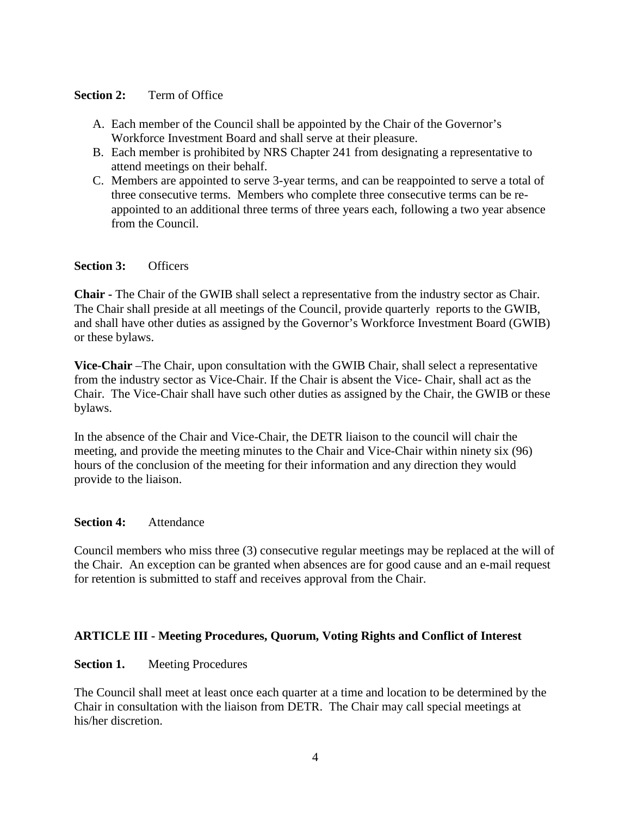#### **Section 2:** Term of Office

- A. Each member of the Council shall be appointed by the Chair of the Governor's Workforce Investment Board and shall serve at their pleasure.
- B. Each member is prohibited by NRS Chapter 241 from designating a representative to attend meetings on their behalf.
- C. Members are appointed to serve 3-year terms, and can be reappointed to serve a total of three consecutive terms. Members who complete three consecutive terms can be reappointed to an additional three terms of three years each, following a two year absence from the Council.

#### **Section 3:** Officers

**Chair -** The Chair of the GWIB shall select a representative from the industry sector as Chair. The Chair shall preside at all meetings of the Council, provide quarterly reports to the GWIB, and shall have other duties as assigned by the Governor's Workforce Investment Board (GWIB) or these bylaws.

**Vice-Chair** –The Chair, upon consultation with the GWIB Chair, shall select a representative from the industry sector as Vice-Chair. If the Chair is absent the Vice- Chair, shall act as the Chair. The Vice-Chair shall have such other duties as assigned by the Chair, the GWIB or these bylaws.

In the absence of the Chair and Vice-Chair, the DETR liaison to the council will chair the meeting, and provide the meeting minutes to the Chair and Vice-Chair within ninety six (96) hours of the conclusion of the meeting for their information and any direction they would provide to the liaison.

#### **Section 4:** Attendance

Council members who miss three (3) consecutive regular meetings may be replaced at the will of the Chair. An exception can be granted when absences are for good cause and an e-mail request for retention is submitted to staff and receives approval from the Chair.

#### **ARTICLE III - Meeting Procedures, Quorum, Voting Rights and Conflict of Interest**

#### **Section 1.** Meeting Procedures

The Council shall meet at least once each quarter at a time and location to be determined by the Chair in consultation with the liaison from DETR. The Chair may call special meetings at his/her discretion.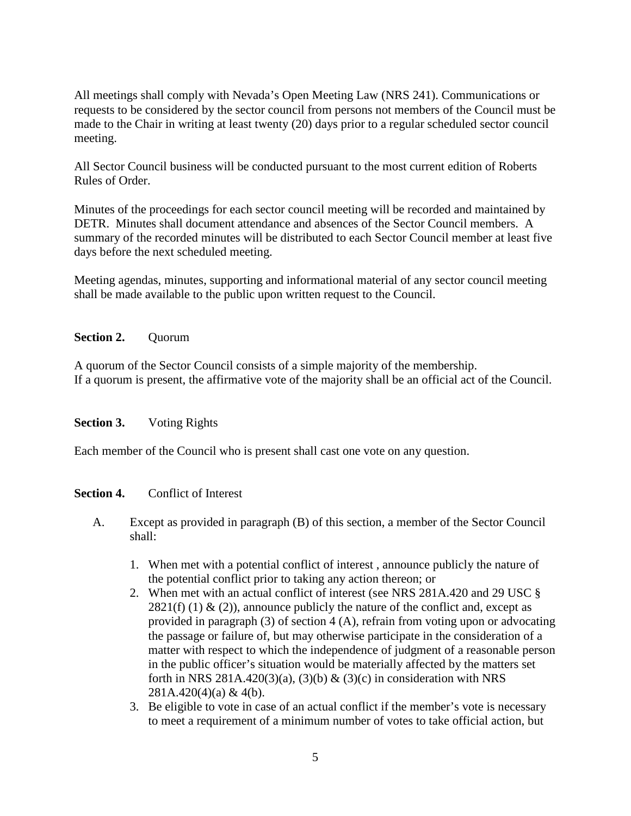All meetings shall comply with Nevada's Open Meeting Law (NRS 241). Communications or requests to be considered by the sector council from persons not members of the Council must be made to the Chair in writing at least twenty (20) days prior to a regular scheduled sector council meeting.

All Sector Council business will be conducted pursuant to the most current edition of Roberts Rules of Order.

Minutes of the proceedings for each sector council meeting will be recorded and maintained by DETR. Minutes shall document attendance and absences of the Sector Council members. A summary of the recorded minutes will be distributed to each Sector Council member at least five days before the next scheduled meeting.

Meeting agendas, minutes, supporting and informational material of any sector council meeting shall be made available to the public upon written request to the Council.

### **Section 2.** Ouorum

A quorum of the Sector Council consists of a simple majority of the membership. If a quorum is present, the affirmative vote of the majority shall be an official act of the Council.

#### **Section 3.** Voting Rights

Each member of the Council who is present shall cast one vote on any question.

#### **Section 4.** Conflict of Interest

- A. Except as provided in paragraph (B) of this section, a member of the Sector Council shall:
	- 1. When met with a potential conflict of interest , announce publicly the nature of the potential conflict prior to taking any action thereon; or
	- 2. When met with an actual conflict of interest (see NRS 281A.420 and 29 USC §  $2821(f)$  (1) & (2)), announce publicly the nature of the conflict and, except as provided in paragraph (3) of section 4 (A), refrain from voting upon or advocating the passage or failure of, but may otherwise participate in the consideration of a matter with respect to which the independence of judgment of a reasonable person in the public officer's situation would be materially affected by the matters set forth in NRS 281A.420(3)(a), (3)(b) & (3)(c) in consideration with NRS 281A.420(4)(a) & 4(b).
	- 3. Be eligible to vote in case of an actual conflict if the member's vote is necessary to meet a requirement of a minimum number of votes to take official action, but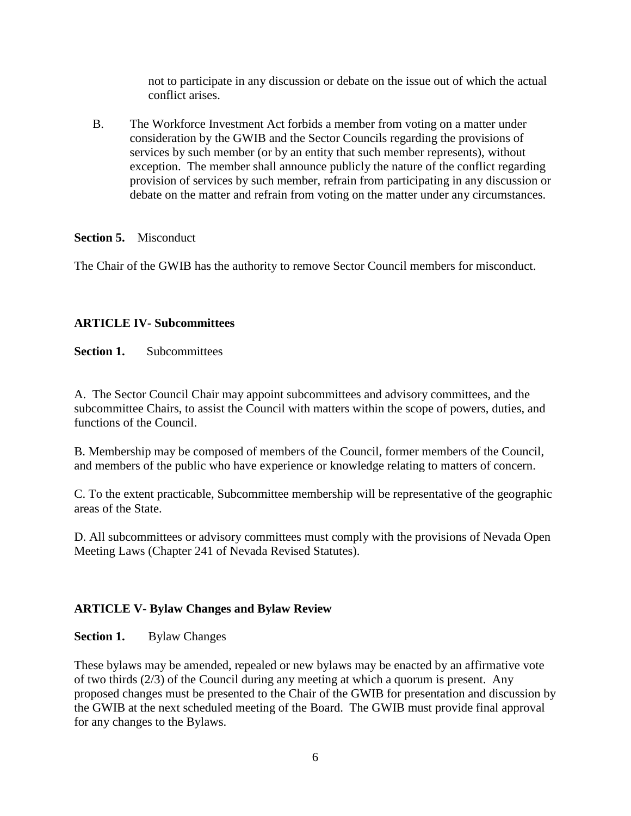not to participate in any discussion or debate on the issue out of which the actual conflict arises.

B. The Workforce Investment Act forbids a member from voting on a matter under consideration by the GWIB and the Sector Councils regarding the provisions of services by such member (or by an entity that such member represents), without exception. The member shall announce publicly the nature of the conflict regarding provision of services by such member, refrain from participating in any discussion or debate on the matter and refrain from voting on the matter under any circumstances.

#### **Section 5.** Misconduct

The Chair of the GWIB has the authority to remove Sector Council members for misconduct.

# **ARTICLE IV- Subcommittees**

**Section 1.** Subcommittees

A. The Sector Council Chair may appoint subcommittees and advisory committees, and the subcommittee Chairs, to assist the Council with matters within the scope of powers, duties, and functions of the Council.

B. Membership may be composed of members of the Council, former members of the Council, and members of the public who have experience or knowledge relating to matters of concern.

C. To the extent practicable, Subcommittee membership will be representative of the geographic areas of the State.

D. All subcommittees or advisory committees must comply with the provisions of Nevada Open Meeting Laws (Chapter 241 of Nevada Revised Statutes).

### **ARTICLE V- Bylaw Changes and Bylaw Review**

### **Section 1.** Bylaw Changes

These bylaws may be amended, repealed or new bylaws may be enacted by an affirmative vote of two thirds (2/3) of the Council during any meeting at which a quorum is present. Any proposed changes must be presented to the Chair of the GWIB for presentation and discussion by the GWIB at the next scheduled meeting of the Board. The GWIB must provide final approval for any changes to the Bylaws.